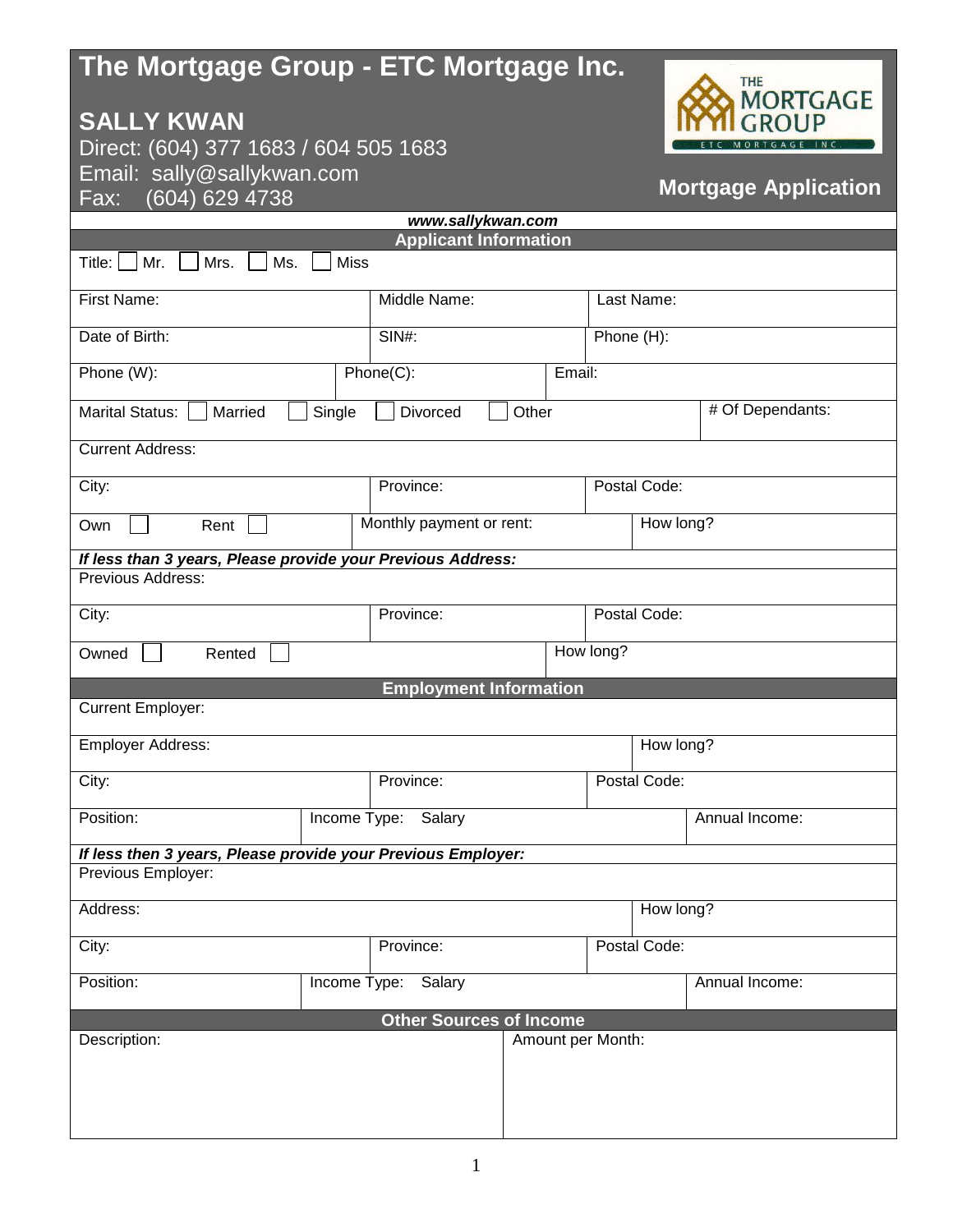## **The Mortgage Group - ETC Mortgage Inc.**

## **SALLY KWAN**

Direct: (604) 377 1683 / 604 505 1683 Email: sally@sallykwan.com  $Fax: (604) 629 4738$ 



## **Mortgage Application**

| www.sallykwan.com                                            |                          |                                |           |                   |                |  |  |  |
|--------------------------------------------------------------|--------------------------|--------------------------------|-----------|-------------------|----------------|--|--|--|
| <b>Applicant Information</b>                                 |                          |                                |           |                   |                |  |  |  |
| <b>Miss</b><br>Title:<br>Mr.<br>Mrs.<br>Ms.                  |                          |                                |           |                   |                |  |  |  |
| First Name:                                                  | Middle Name:             | Last Name:                     |           |                   |                |  |  |  |
| Date of Birth:                                               | <b>SIN#:</b>             | Phone (H):                     |           |                   |                |  |  |  |
| Phone (W):                                                   |                          | Phone(C):<br>Email:            |           |                   |                |  |  |  |
| Marital Status:<br>Married<br>Single                         | Divorced<br>Other        |                                |           | # Of Dependants:  |                |  |  |  |
| <b>Current Address:</b>                                      |                          |                                |           |                   |                |  |  |  |
| City:                                                        | Province:                | Postal Code:                   |           |                   |                |  |  |  |
| Own<br>Rent                                                  | Monthly payment or rent: |                                | How long? |                   |                |  |  |  |
| If less than 3 years, Please provide your Previous Address:  |                          |                                |           |                   |                |  |  |  |
| Previous Address:                                            |                          |                                |           |                   |                |  |  |  |
| City:                                                        | Province:                | Postal Code:                   |           |                   |                |  |  |  |
| How long?<br>Owned<br>Rented                                 |                          |                                |           |                   |                |  |  |  |
|                                                              |                          | <b>Employment Information</b>  |           |                   |                |  |  |  |
| <b>Current Employer:</b>                                     |                          |                                |           |                   |                |  |  |  |
| Employer Address:                                            |                          |                                |           | How long?         |                |  |  |  |
| City:                                                        | Province:                | Postal Code:                   |           |                   |                |  |  |  |
| Position:                                                    | Income Type:<br>Salary   |                                |           | Annual Income:    |                |  |  |  |
| If less then 3 years, Please provide your Previous Employer: |                          |                                |           |                   |                |  |  |  |
| Previous Employer:                                           |                          |                                |           |                   |                |  |  |  |
| Address:                                                     |                          |                                |           | How long?         |                |  |  |  |
| City:                                                        | Province:                |                                |           | Postal Code:      |                |  |  |  |
| Position:                                                    | Income Type:             | Salary                         |           |                   | Annual Income: |  |  |  |
|                                                              |                          | <b>Other Sources of Income</b> |           |                   |                |  |  |  |
| Description:                                                 |                          |                                |           | Amount per Month: |                |  |  |  |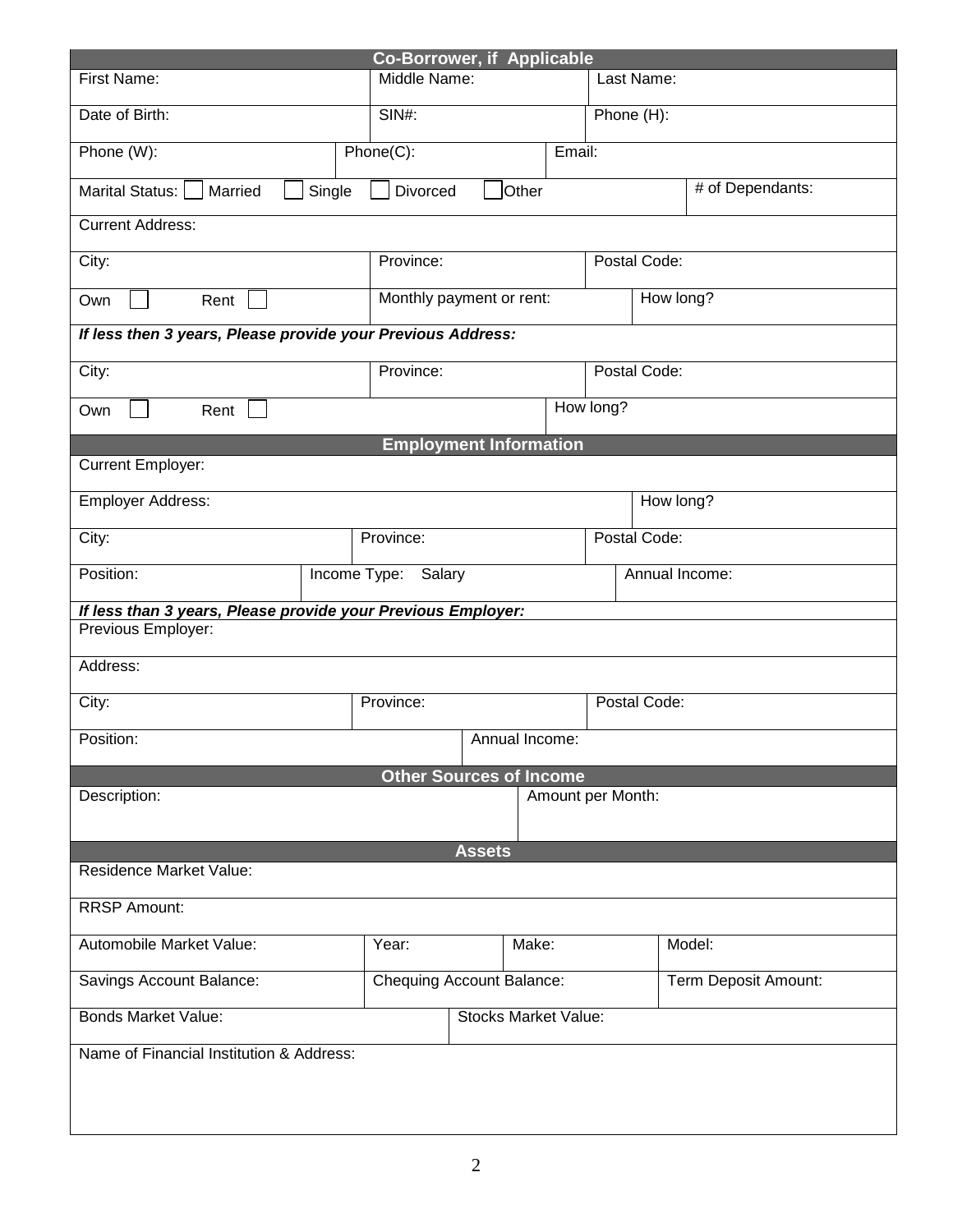| <b>Co-Borrower, if Applicable</b>                                              |                             |                                  |              |                |                      |  |  |  |
|--------------------------------------------------------------------------------|-----------------------------|----------------------------------|--------------|----------------|----------------------|--|--|--|
| First Name:                                                                    |                             | Middle Name:                     |              |                | Last Name:           |  |  |  |
| Date of Birth:                                                                 | SIN#:                       |                                  |              |                | Phone (H):           |  |  |  |
| Phone (W):                                                                     | Phone(C):                   | Email:                           |              |                |                      |  |  |  |
| # of Dependants:<br>Other<br>Marital Status:     Married<br>Single<br>Divorced |                             |                                  |              |                |                      |  |  |  |
| <b>Current Address:</b>                                                        |                             |                                  |              |                |                      |  |  |  |
| City:                                                                          |                             | Province:                        |              |                | Postal Code:         |  |  |  |
| Rent<br>Own                                                                    |                             | Monthly payment or rent:         |              |                | How long?            |  |  |  |
| If less then 3 years, Please provide your Previous Address:                    |                             |                                  |              |                |                      |  |  |  |
| City:                                                                          |                             | Province:                        |              |                | Postal Code:         |  |  |  |
| Own<br>Rent                                                                    |                             | How long?                        |              |                |                      |  |  |  |
|                                                                                |                             | <b>Employment Information</b>    |              |                |                      |  |  |  |
| Current Employer:                                                              |                             |                                  |              |                |                      |  |  |  |
| <b>Employer Address:</b>                                                       |                             |                                  |              | How long?      |                      |  |  |  |
| City:                                                                          |                             |                                  | Postal Code: |                |                      |  |  |  |
| Position:                                                                      | Income Type: Salary         |                                  |              | Annual Income: |                      |  |  |  |
| If less than 3 years, Please provide your Previous Employer:                   |                             |                                  |              |                |                      |  |  |  |
| Previous Employer:                                                             |                             |                                  |              |                |                      |  |  |  |
| Address:                                                                       |                             |                                  |              |                |                      |  |  |  |
| City:                                                                          | Province:                   |                                  |              |                | Postal Code:         |  |  |  |
| Annual Income:<br>Position:                                                    |                             |                                  |              |                |                      |  |  |  |
|                                                                                |                             | <b>Other Sources of Income</b>   |              |                |                      |  |  |  |
| Amount per Month:<br>Description:                                              |                             |                                  |              |                |                      |  |  |  |
|                                                                                |                             | <b>Assets</b>                    |              |                |                      |  |  |  |
| <b>Residence Market Value:</b>                                                 |                             |                                  |              |                |                      |  |  |  |
| <b>RRSP Amount:</b>                                                            |                             |                                  |              |                |                      |  |  |  |
| Automobile Market Value:                                                       | Year:                       | Make:                            |              |                | Model:               |  |  |  |
| Savings Account Balance:                                                       |                             | <b>Chequing Account Balance:</b> |              |                | Term Deposit Amount: |  |  |  |
| <b>Bonds Market Value:</b>                                                     | <b>Stocks Market Value:</b> |                                  |              |                |                      |  |  |  |
| Name of Financial Institution & Address:                                       |                             |                                  |              |                |                      |  |  |  |
|                                                                                |                             |                                  |              |                |                      |  |  |  |
|                                                                                |                             |                                  |              |                |                      |  |  |  |
|                                                                                |                             |                                  |              |                |                      |  |  |  |